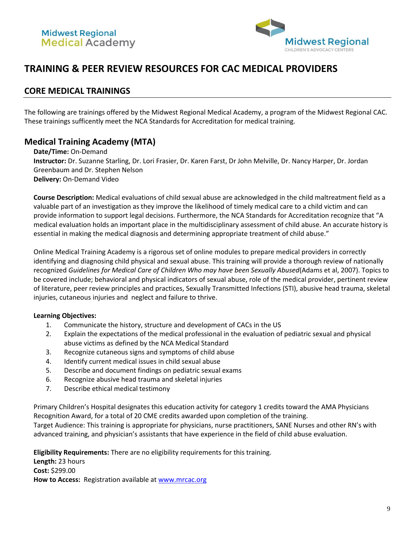

# **TRAINING & PEER REVIEW RESOURCES FOR CAC MEDICAL PROVIDERS**

### **CORE MEDICAL TRAININGS**

The following are trainings offered by the Midwest Regional Medical Academy, a program of the Midwest Regional CAC. These trainings sufficently meet the NCA Standards for Accreditation for medical training.

## **Medical Training Academy (MTA)**

**Date/Time:** On-Demand **Instructor:** Dr. Suzanne Starling, Dr. Lori Frasier, Dr. Karen Farst, Dr John Melville, Dr. Nancy Harper, Dr. Jordan Greenbaum and Dr. Stephen Nelson **Delivery:** On-Demand Video

**Course Description:** Medical evaluations of child sexual abuse are acknowledged in the child maltreatment field as a valuable part of an investigation as they improve the likelihood of timely medical care to a child victim and can provide information to support legal decisions. Furthermore, the NCA Standards for Accreditation recognize that "A medical evaluation holds an important place in the multidisciplinary assessment of child abuse. An accurate history is essential in making the medical diagnosis and determining appropriate treatment of child abuse."

Online Medical Training Academy is a rigorous set of online modules to prepare medical providers in correctly identifying and diagnosing child physical and sexual abuse. This training will provide a thorough review of nationally recognized *Guidelines for Medical Care of Children Who may have been Sexually Abused*(Adams et al, 2007). Topics to be covered include; behavioral and physical indicators of sexual abuse, role of the medical provider, pertinent review of literature, peer review principles and practices, Sexually Transmitted Infections (STI), abusive head trauma, skeletal injuries, cutaneous injuries and neglect and failure to thrive.

#### **Learning Objectives:**

- 1. Communicate the history, structure and development of CACs in the US
- 2. Explain the expectations of the medical professional in the evaluation of pediatric sexual and physical abuse victims as defined by the NCA Medical Standard
- 3. Recognize cutaneous signs and symptoms of child abuse
- 4. Identify current medical issues in child sexual abuse
- 5. Describe and document findings on pediatric sexual exams
- 6. Recognize abusive head trauma and skeletal injuries
- 7. Describe ethical medical testimony

Primary Children's Hospital designates this education activity for category 1 credits toward the AMA Physicians Recognition Award, for a total of 20 CME credits awarded upon completion of the training. Target Audience: This training is appropriate for physicians, nurse practitioners, SANE Nurses and other RN's with advanced training, and physician's assistants that have experience in the field of child abuse evaluation.

**Eligibility Requirements:** There are no eligibility requirements for this training.

**Length:** 23 hours **Cost:** \$299.00 How to Access: Registration available a[t www.mrcac.org](http://www.mrcac.org/)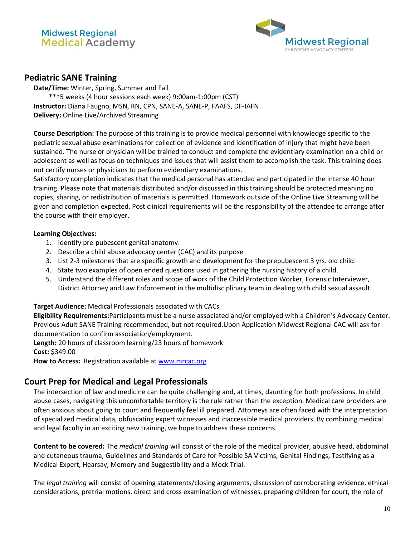

## **Pediatric SANE Training**

**Date/Time:** Winter, Spring, Summer and Fall \*\*\*5 weeks (4 hour sessions each week) 9:00am-1:00pm (CST) **Instructor:** Diana Faugno, MSN, RN, CPN, SANE-A, SANE-P, FAAFS, DF-IAFN **Delivery:** Online Live/Archived Streaming

**Course Description:** The purpose of this training is to provide medical personnel with knowledge specific to the pediatric sexual abuse examinations for collection of evidence and identification of injury that might have been sustained. The nurse or physician will be trained to conduct and complete the evidentiary examination on a child or adolescent as well as focus on techniques and issues that will assist them to accomplish the task. This training does not certify nurses or physicians to perform evidentiary examinations.

Satisfactory completion indicates that the medical personal has attended and participated in the intense 40 hour training. Please note that materials distributed and/or discussed in this training should be protected meaning no copies, sharing, or redistribution of materials is permitted. Homework outside of the Online Live Streaming will be given and completion expected. Post clinical requirements will be the responsibility of the attendee to arrange after the course with their employer.

#### **Learning Objectives:**

- 1. Identify pre-pubescent genital anatomy.
- 2. Describe a child abuse advocacy center (CAC) and its purpose
- 3. List 2-3 milestones that are specific growth and development for the prepubescent 3 yrs. old child.
- 4. State two examples of open ended questions used in gathering the nursing history of a child.
- 5. Understand the different roles and scope of work of the Child Protection Worker, Forensic Interviewer, District Attorney and Law Enforcement in the multidisciplinary team in dealing with child sexual assault.

#### **Target Audience:** Medical Professionals associated with CACs

**Eligibility Requirements:**Participants must be a nurse associated and/or employed with a Children's Advocacy Center. Previous Adult SANE Training recommended, but not required.Upon Application Midwest Regional CAC will ask for documentation to confirm association/employment.

**Length:** 20 hours of classroom learning/23 hours of homework

**Cost:** \$349.00

How to Access: Registration available a[t www.mrcac.org](http://www.mrcac.org/)

### **Court Prep for Medical and Legal Professionals**

The intersection of law and medicine can be quite challenging and, at times, daunting for both professions. In child abuse cases, navigating this uncomfortable territory is the rule rather than the exception. Medical care providers are often anxious about going to court and frequently feel ill prepared. Attorneys are often faced with the interpretation of specialized medical data, obfuscating expert witnesses and inaccessible medical providers. By combining medical and legal faculty in an exciting new training, we hope to address these concerns.

**Content to be covered:** The *medical training* will consist of the role of the medical provider, abusive head, abdominal and cutaneous trauma, Guidelines and Standards of Care for Possible SA Victims, Genital Findings, Testifying as a Medical Expert, Hearsay, Memory and Suggestibility and a Mock Trial.

The *legal training* will consist of opening statements/closing arguments, discussion of corroborating evidence, ethical considerations, pretrial motions, direct and cross examination of witnesses, preparing children for court, the role of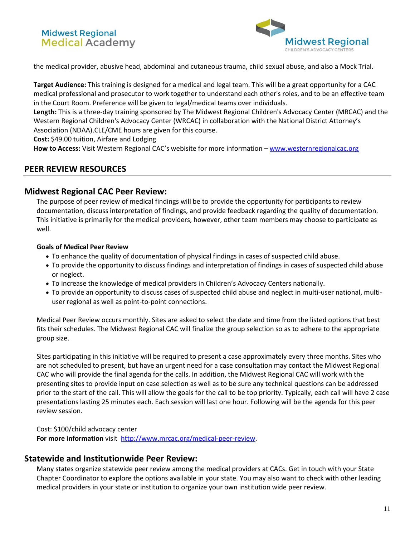## **Midwest Regional Medical Academy**



the medical provider, abusive head, abdominal and cutaneous trauma, child sexual abuse, and also a Mock Trial.

**Target Audience:** This training is designed for a medical and legal team. This will be a great opportunity for a CAC medical professional and prosecutor to work together to understand each other's roles, and to be an effective team in the Court Room. Preference will be given to legal/medical teams over individuals.

**Length:** This is a three-day training sponsored by The Midwest Regional Children's Advocacy Center (MRCAC) and the Western Regional Children's Advocacy Center (WRCAC) in collaboration with the National District Attorney's Association (NDAA).CLE/CME hours are given for this course.

**Cost:** \$49.00 tuition, Airfare and Lodging

How to Access: Visit Western Regional CAC's webisite for more information - [www.westernregionalcac.org](http://www.westernregionalcac.org/)

### **PEER REVIEW RESOURCES**

### **Midwest Regional CAC Peer Review:**

The purpose of peer review of medical findings will be to provide the opportunity for participants to review documentation, discuss interpretation of findings, and provide feedback regarding the quality of documentation. This initiative is primarily for the medical providers, however, other team members may choose to participate as well.

#### **Goals of Medical Peer Review**

- To enhance the quality of documentation of physical findings in cases of suspected child abuse.
- To provide the opportunity to discuss findings and interpretation of findings in cases of suspected child abuse or neglect.
- To increase the knowledge of medical providers in Children's Advocacy Centers nationally.
- To provide an opportunity to discuss cases of suspected child abuse and neglect in multi-user national, multiuser regional as well as point-to-point connections.

Medical Peer Review occurs monthly. Sites are asked to select the date and time from the listed options that best fits their schedules. The Midwest Regional CAC will finalize the group selection so as to adhere to the appropriate group size.

Sites participating in this initiative will be required to present a case approximately every three months. Sites who are not scheduled to present, but have an urgent need for a case consultation may contact the Midwest Regional CAC who will provide the final agenda for the calls. In addition, the Midwest Regional CAC will work with the presenting sites to provide input on case selection as well as to be sure any technical questions can be addressed prior to the start of the call. This will allow the goals for the call to be top priority. Typically, each call will have 2 case presentations lasting 25 minutes each. Each session will last one hour. Following will be the agenda for this peer review session.

Cost: \$100/child advocacy center **For more information** visit [http://www.mrcac.org/medical-peer-review.](http://www.mrcac.org/medical-peer-review)

### **Statewide and Institutionwide Peer Review:**

Many states organize statewide peer review among the medical providers at CACs. Get in touch with your State Chapter Coordinator to explore the options available in your state. You may also want to check with other leading medical providers in your state or institution to organize your own institution wide peer review.